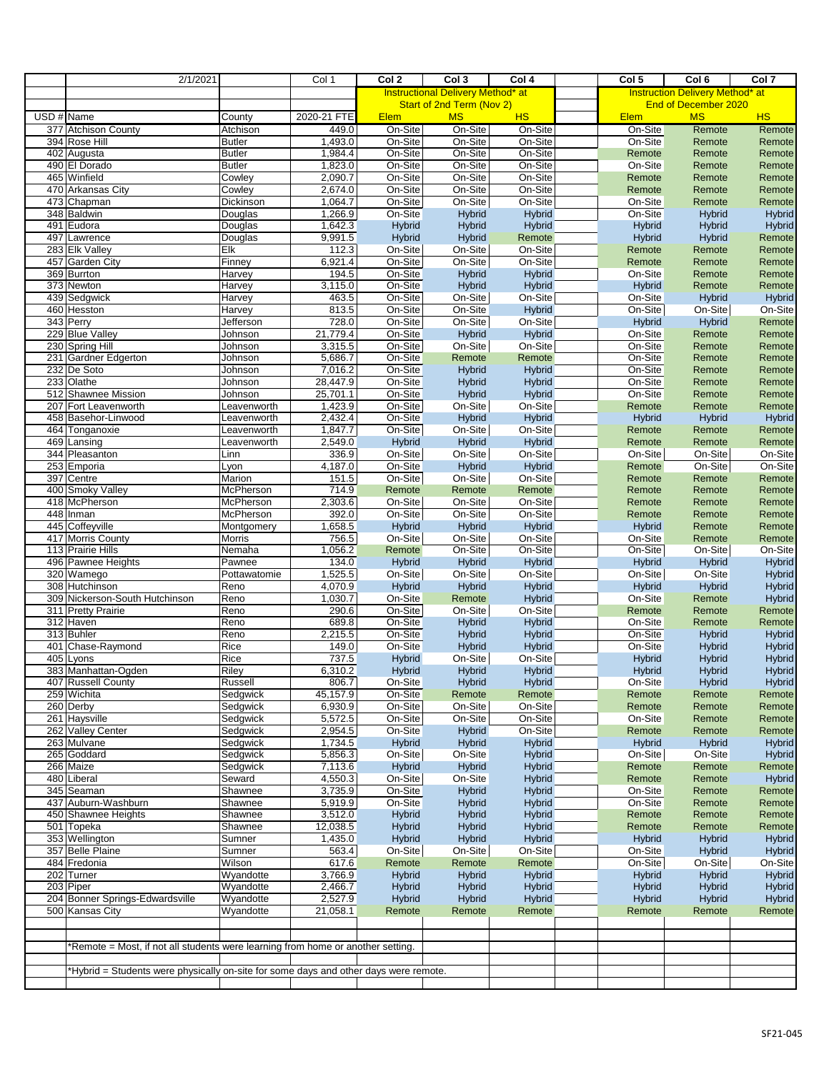|                          | 2/1/2021                                                                             |                        | Col 1               | Col 2                     | Col <sub>3</sub>                         | Col 4                          | Col <sub>5</sub>     | Col <sub>6</sub>                       | Col 7                          |
|--------------------------|--------------------------------------------------------------------------------------|------------------------|---------------------|---------------------------|------------------------------------------|--------------------------------|----------------------|----------------------------------------|--------------------------------|
|                          |                                                                                      |                        |                     |                           | <b>Instructional Delivery Method* at</b> |                                |                      | <b>Instruction Delivery Method* at</b> |                                |
|                          |                                                                                      |                        |                     | Start of 2nd Term (Nov 2) |                                          |                                | End of December 2020 |                                        |                                |
| $\overline{USD \# Name}$ |                                                                                      | County                 | 2020-21 FTE         | <b>Elem</b>               | <b>MS</b>                                | <b>HS</b>                      | <b>Elem</b>          | <b>MS</b>                              | <b>HS</b>                      |
|                          | 377 Atchison County                                                                  | Atchison               | 449.0               | On-Site                   | On-Site                                  | On-Site                        | On-Site              | Remote                                 | Remote                         |
|                          | 394 Rose Hill                                                                        | <b>Butler</b>          | 1.493.0             | On-Site                   | On-Site                                  | On-Site                        | On-Site              | Remote                                 | Remote                         |
|                          | $\overline{402}$ Augusta                                                             | <b>Butler</b>          | 1,984.4             | On-Site                   | On-Site                                  | On-Site                        | Remote               | Remote                                 | Remote                         |
|                          | 490 El Dorado                                                                        | <b>Butler</b>          | 1,823.0             | On-Site                   | On-Site                                  | On-Site                        | On-Site              | Remote                                 | Remote                         |
|                          | 465 Winfield<br>470 Arkansas City                                                    | Cowley                 | 2,090.7<br>2,674.0  | On-Site<br>On-Site        | On-Site<br>On-Site                       | On-Site<br>On-Site             | Remote               | Remote                                 | Remote                         |
|                          |                                                                                      | Cowley                 | 1,064.7             |                           | On-Site                                  | On-Site                        | Remote<br>On-Site    | Remote<br>Remote                       | Remote                         |
|                          | 473 Chapman<br>348 Baldwin                                                           | Dickinson<br>Douglas   | 1,266.9             | On-Site<br>On-Site        | <b>Hybrid</b>                            | <b>Hybrid</b>                  | On-Site              | <b>Hybrid</b>                          | Remote<br><b>Hybrid</b>        |
|                          | 491 Eudora                                                                           | Douglas                | 1,642.3             | <b>Hybrid</b>             | Hybrid                                   | <b>Hybrid</b>                  | Hybrid               | Hybrid                                 | <b>Hybrid</b>                  |
|                          | 497 Lawrence                                                                         | Douglas                | 9,991.5             | Hybrid                    | Hybrid                                   | Remote                         | Hybrid               | Hybrid                                 | Remote                         |
|                          | 283 Elk Valley                                                                       | Elk                    | 112.3               | On-Site                   | On-Site                                  | On-Site                        | Remote               | Remote                                 | Remote                         |
|                          | 457 Garden City                                                                      | Finney                 | 6,921.4             | On-Site                   | On-Site                                  | On-Site                        | Remote               | Remote                                 | Remote                         |
|                          | 369 Burrton                                                                          | Harvey                 | 194.5               | On-Site                   | Hybrid                                   | <b>Hybrid</b>                  | On-Site              | Remote                                 | Remote                         |
|                          | 373 Newton                                                                           | Harvey                 | 3,115.0             | On-Site                   | Hybrid                                   | <b>Hybrid</b>                  | <b>Hybrid</b>        | Remote                                 | Remote                         |
|                          | 439 Sedgwick                                                                         | Harvey                 | 463.5               | On-Site                   | On-Site                                  | On-Site                        | On-Site              | <b>Hybrid</b>                          | Hybrid                         |
|                          | 460 Hesston                                                                          | Harvey                 | 813.5               | On-Site                   | On-Site                                  | Hybrid                         | On-Site              | On-Site                                | On-Site                        |
|                          | 343 Perry                                                                            | Jefferson              | 728.0               | On-Site                   | On-Site                                  | On-Site                        | Hybrid               | Hybrid                                 | Remote                         |
|                          | 229 Blue Valley                                                                      | Johnson                | 21,779.4            | On-Site                   | Hybrid                                   | <b>Hybrid</b>                  | On-Site              | Remote                                 | Remote                         |
|                          | 230 Spring Hill                                                                      | Johnson                | 3,315.5             | On-Site                   | On-Site                                  | On-Site                        | On-Site              | Remote                                 | Remote                         |
|                          | 231 Gardner Edgerton                                                                 | Johnson                | 5,686.7             | On-Site                   | Remote                                   | Remote                         | On-Site              | Remote                                 | Remote                         |
|                          | 232 De Soto                                                                          | Johnson                | 7,016.2             | On-Site                   | Hybrid                                   | <b>Hybrid</b>                  | On-Site              | Remote                                 | Remote                         |
|                          | 233 Olathe<br>512 Shawnee Mission                                                    | Johnson                | 28,447.9            | On-Site                   | Hybrid                                   | <b>Hybrid</b>                  | On-Site              | Remote                                 | Remote                         |
|                          | 207 Fort Leavenworth                                                                 | Johnson<br>Leavenworth | 25,701.1<br>1,423.9 | On-Site<br>On-Site        | Hybrid<br>On-Site                        | Hybrid<br>On-Site              | On-Site<br>Remote    | Remote<br>Remote                       | Remote<br>Remote               |
|                          | 458 Basehor-Linwood                                                                  | Leavenworth            | 2,432.4             | On-Site                   | Hybrid                                   | Hybrid                         | Hybrid               | Hybrid                                 | <b>Hybrid</b>                  |
|                          | 464 Tonganoxie                                                                       | Leavenworth            | 1,847.7             | On-Site                   | On-Site                                  | On-Site                        | Remote               | Remote                                 | Remote                         |
|                          | 469 Lansing                                                                          | Leavenworth            | 2,549.0             | Hybrid                    | Hybrid                                   | Hybrid                         | Remote               | Remote                                 | Remote                         |
|                          | 344 Pleasanton                                                                       | Linn                   | 336.9               | On-Site                   | On-Site                                  | On-Site                        | On-Site              | On-Site                                | On-Site                        |
|                          | 253 Emporia                                                                          | Lyon                   | 4,187.0             | On-Site                   | Hybrid                                   | Hybrid                         | Remote               | On-Site                                | On-Site                        |
|                          | 397 Centre                                                                           | Marion                 | 151.5               | On-Site                   | On-Site                                  | On-Site                        | Remote               | Remote                                 | Remote                         |
|                          | 400 Smoky Valley                                                                     | McPherson              | 714.9               | Remote                    | Remote                                   | Remote                         | Remote               | Remote                                 | Remote                         |
|                          | 418 McPherson                                                                        | McPherson              | 2,303.6             | On-Site                   | On-Site                                  | On-Site                        | Remote               | Remote                                 | Remote                         |
|                          | 448 Inman                                                                            | McPherson              | 392.0               | On-Site                   | On-Site                                  | On-Site                        | Remote               | Remote                                 | Remote                         |
|                          | 445 Coffeyville                                                                      | Montgomery             | 1,658.5             | Hybrid                    | Hybrid                                   | Hybrid                         | Hybrid               | Remote                                 | Remote                         |
|                          | 417 Morris County                                                                    | <b>Morris</b>          | 756.5               | On-Site                   | On-Site                                  | On-Site                        | On-Site              | Remote                                 | Remote                         |
|                          | 113 Prairie Hills                                                                    | Nemaha                 | 1,056.2             | Remote                    | On-Site                                  | On-Site                        | On-Site              | On-Site                                | On-Site                        |
|                          | 496 Pawnee Heights                                                                   | Pawnee                 | 134.0               | Hybrid                    | Hybrid                                   | Hybrid                         | <b>Hybrid</b>        | <b>Hybrid</b>                          | <b>Hybrid</b>                  |
|                          | 320 Wamego                                                                           | Pottawatomie           | 1,525.5             | On-Site                   | On-Site                                  | On-Site                        | On-Site              | On-Site                                | <b>Hybrid</b>                  |
|                          | 308 Hutchinson                                                                       | Reno                   | 4,070.9             | Hybrid                    | Hybrid                                   | <b>Hybrid</b>                  | Hybrid               | Hybrid                                 | Hybrid                         |
|                          | 309 Nickerson-South Hutchinson                                                       | Reno                   | 1,030.7             | On-Site                   | Remote                                   | Hybrid                         | On-Site              | Remote                                 | <b>Hybrid</b>                  |
|                          | 311 Pretty Prairie<br>312 Haven                                                      | Reno                   | 290.6<br>689.8      | On-Site<br>On-Site        | On-Site                                  | On-Site                        | Remote<br>On-Site    | Remote                                 | Remote                         |
|                          | 313 Buhler                                                                           | Reno                   | 2,215.5             | On-Site                   | Hybrid                                   | <b>Hybrid</b>                  | On-Site              | Remote                                 | Remote                         |
|                          | 401 Chase-Raymond                                                                    | Reno<br>Rice           | 149.0               | On-Site                   | Hybrid<br>Hybrid                         | <b>Hybrid</b><br><b>Hybrid</b> | On-Site              | Hybrid<br>Hybrid                       | <b>Hybrid</b><br><b>Hybrid</b> |
|                          | $\overline{405}$ Lyons                                                               | Rice                   | 737.5               | <b>Hybrid</b>             | On-Site                                  | On-Site                        | <b>Hybrid</b>        | <b>Hybrid</b>                          | <b>Hybrid</b>                  |
|                          | 383 Manhattan-Ogden                                                                  | Riley                  | 6,310.2             | <b>Hybrid</b>             | Hybrid                                   | <b>Hybrid</b>                  | <b>Hybrid</b>        | Hybrid                                 | <b>Hybrid</b>                  |
|                          | 407 Russell County                                                                   | Russell                | 806.7               | On-Site                   | <b>Hybrid</b>                            | Hybrid                         | On-Site              | Hybrid                                 | <b>Hybrid</b>                  |
|                          | 259 Wichita                                                                          | Sedgwick               | 45,157.9            | On-Site                   | Remote                                   | Remote                         | Remote               | Remote                                 | Remote                         |
|                          | 260 Derby                                                                            | Sedgwick               | 6,930.9             | On-Site                   | On-Site                                  | On-Site                        | Remote               | Remote                                 | Remote                         |
|                          | 261 Haysville                                                                        | Sedgwick               | 5,572.5             | On-Site                   | On-Site                                  | On-Site                        | On-Site              | Remote                                 | Remote                         |
|                          | 262 Valley Center                                                                    | Sedgwick               | 2,954.5             | On-Site                   | Hybrid                                   | On-Site                        | Remote               | Remote                                 | Remote                         |
|                          | 263 Mulvane                                                                          | Sedgwick               | 1,734.5             | <b>Hybrid</b>             | Hybrid                                   | <b>Hybrid</b>                  | Hybrid               | <b>Hybrid</b>                          | <b>Hybrid</b>                  |
|                          | 265 Goddard                                                                          | Sedgwick               | 5,856.3             | On-Site                   | On-Site                                  | <b>Hybrid</b>                  | On-Site              | On-Site                                | <b>Hybrid</b>                  |
|                          | 266 Maize                                                                            | Sedgwick               | 7,113.6             | <b>Hybrid</b>             | Hybrid                                   | <b>Hybrid</b>                  | Remote               | Remote                                 | Remote                         |
|                          | 480 Liberal                                                                          | Seward                 | 4,550.3             | On-Site                   | On-Site                                  | <b>Hybrid</b>                  | Remote               | Remote                                 | <b>Hybrid</b>                  |
|                          | 345 Seaman                                                                           | Shawnee                | 3,735.9             | On-Site                   | <b>Hybrid</b>                            | <b>Hybrid</b>                  | On-Site              | Remote                                 | Remote                         |
|                          | 437 Auburn-Washburn                                                                  | Shawnee                | 5,919.9             | On-Site                   | <b>Hybrid</b>                            | <b>Hybrid</b>                  | On-Site              | Remote                                 | Remote                         |
|                          | 450 Shawnee Heights                                                                  | Shawnee                | 3,512.0             | <b>Hybrid</b>             | Hybrid                                   | <b>Hybrid</b>                  | Remote               | Remote                                 | Remote                         |
|                          | 501 Topeka                                                                           | Shawnee                | 12,038.5            | <b>Hybrid</b>             | <b>Hybrid</b>                            | <b>Hybrid</b>                  | Remote               | Remote                                 | Remote                         |
|                          | 353 Wellington                                                                       | Sumner                 | 1,435.0             | <b>Hybrid</b>             | Hybrid                                   | <b>Hybrid</b>                  | Hybrid               | <b>Hybrid</b>                          | <b>Hybrid</b>                  |
|                          | 357 Belle Plaine<br>484 Fredonia                                                     | Sumner<br>Wilson       | 563.4<br>617.6      | On-Site<br>Remote         | On-Site<br>Remote                        | On-Site<br>Remote              | On-Site<br>On-Site   | Hybrid<br>On-Site                      | <b>Hybrid</b><br>On-Site       |
|                          | 202 Turner                                                                           | Wyandotte              | 3,766.9             | <b>Hybrid</b>             | Hybrid                                   | <b>Hybrid</b>                  | <b>Hybrid</b>        | Hybrid                                 | <b>Hybrid</b>                  |
|                          | 203 Piper                                                                            | Wyandotte              | 2,466.7             | <b>Hybrid</b>             | Hybrid                                   | <b>Hybrid</b>                  | <b>Hybrid</b>        | Hybrid                                 | <b>Hybrid</b>                  |
|                          | 204 Bonner Springs-Edwardsville                                                      | Wyandotte              | 2,527.9             | <b>Hybrid</b>             | Hybrid                                   | Hybrid                         | Hybrid               | Hybrid                                 | <b>Hybrid</b>                  |
|                          | 500 Kansas City                                                                      | Wyandotte              | 21,058.1            | Remote                    | Remote                                   | Remote                         | Remote               | Remote                                 | Remote                         |
|                          |                                                                                      |                        |                     |                           |                                          |                                |                      |                                        |                                |
|                          |                                                                                      |                        |                     |                           |                                          |                                |                      |                                        |                                |
|                          | *Remote = Most, if not all students were learning from home or another setting.      |                        |                     |                           |                                          |                                |                      |                                        |                                |
|                          |                                                                                      |                        |                     |                           |                                          |                                |                      |                                        |                                |
|                          | *Hybrid = Students were physically on-site for some days and other days were remote. |                        |                     |                           |                                          |                                |                      |                                        |                                |
|                          |                                                                                      |                        |                     |                           |                                          |                                |                      |                                        |                                |